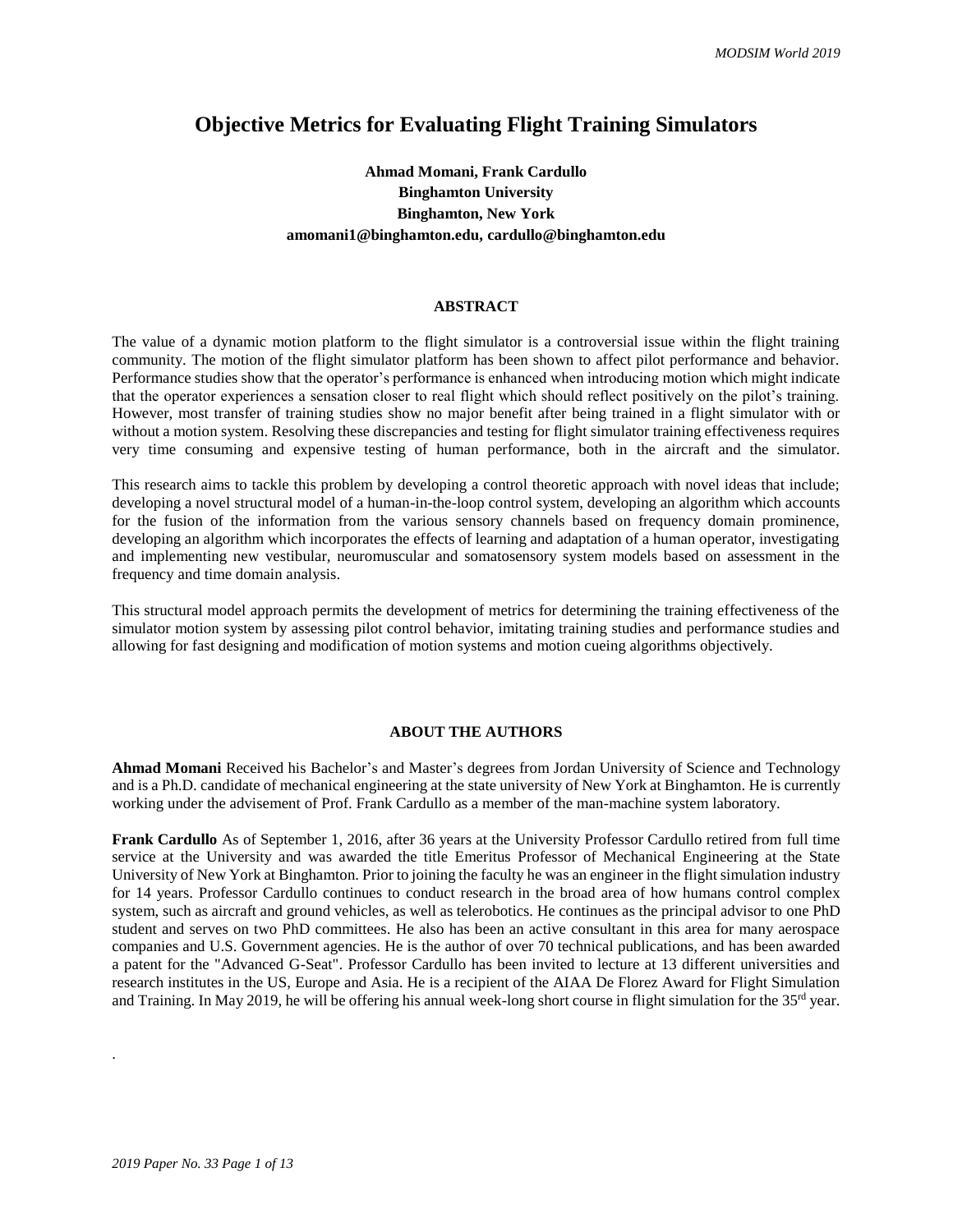## **Objective Metrics for Evaluating Flight Training Simulators**

## **Ahmad Momani, Frank Cardullo Binghamton University Binghamton, New York amomani1@binghamton.edu, cardullo@binghamton.edu**

#### **ABSTRACT**

The value of a dynamic motion platform to the flight simulator is a controversial issue within the flight training community. The motion of the flight simulator platform has been shown to affect pilot performance and behavior. Performance studies show that the operator's performance is enhanced when introducing motion which might indicate that the operator experiences a sensation closer to real flight which should reflect positively on the pilot's training. However, most transfer of training studies show no major benefit after being trained in a flight simulator with or without a motion system. Resolving these discrepancies and testing for flight simulator training effectiveness requires very time consuming and expensive testing of human performance, both in the aircraft and the simulator.

This research aims to tackle this problem by developing a control theoretic approach with novel ideas that include; developing a novel structural model of a human-in-the-loop control system, developing an algorithm which accounts for the fusion of the information from the various sensory channels based on frequency domain prominence, developing an algorithm which incorporates the effects of learning and adaptation of a human operator, investigating and implementing new vestibular, neuromuscular and somatosensory system models based on assessment in the frequency and time domain analysis.

This structural model approach permits the development of metrics for determining the training effectiveness of the simulator motion system by assessing pilot control behavior, imitating training studies and performance studies and allowing for fast designing and modification of motion systems and motion cueing algorithms objectively.

#### **ABOUT THE AUTHORS**

**Ahmad Momani** Received his Bachelor's and Master's degrees from Jordan University of Science and Technology and is a Ph.D. candidate of mechanical engineering at the state university of New York at Binghamton. He is currently working under the advisement of Prof. Frank Cardullo as a member of the man-machine system laboratory.

**Frank Cardullo** As of September 1, 2016, after 36 years at the University Professor Cardullo retired from full time service at the University and was awarded the title Emeritus Professor of Mechanical Engineering at the State University of New York at Binghamton. Prior to joining the faculty he was an engineer in the flight simulation industry for 14 years. Professor Cardullo continues to conduct research in the broad area of how humans control complex system, such as aircraft and ground vehicles, as well as telerobotics. He continues as the principal advisor to one PhD student and serves on two PhD committees. He also has been an active consultant in this area for many aerospace companies and U.S. Government agencies. He is the author of over 70 technical publications, and has been awarded a patent for the "Advanced G-Seat". Professor Cardullo has been invited to lecture at 13 different universities and research institutes in the US, Europe and Asia. He is a recipient of the AIAA De Florez Award for Flight Simulation and Training. In May 2019, he will be offering his annual week-long short course in flight simulation for the 35rd year.

.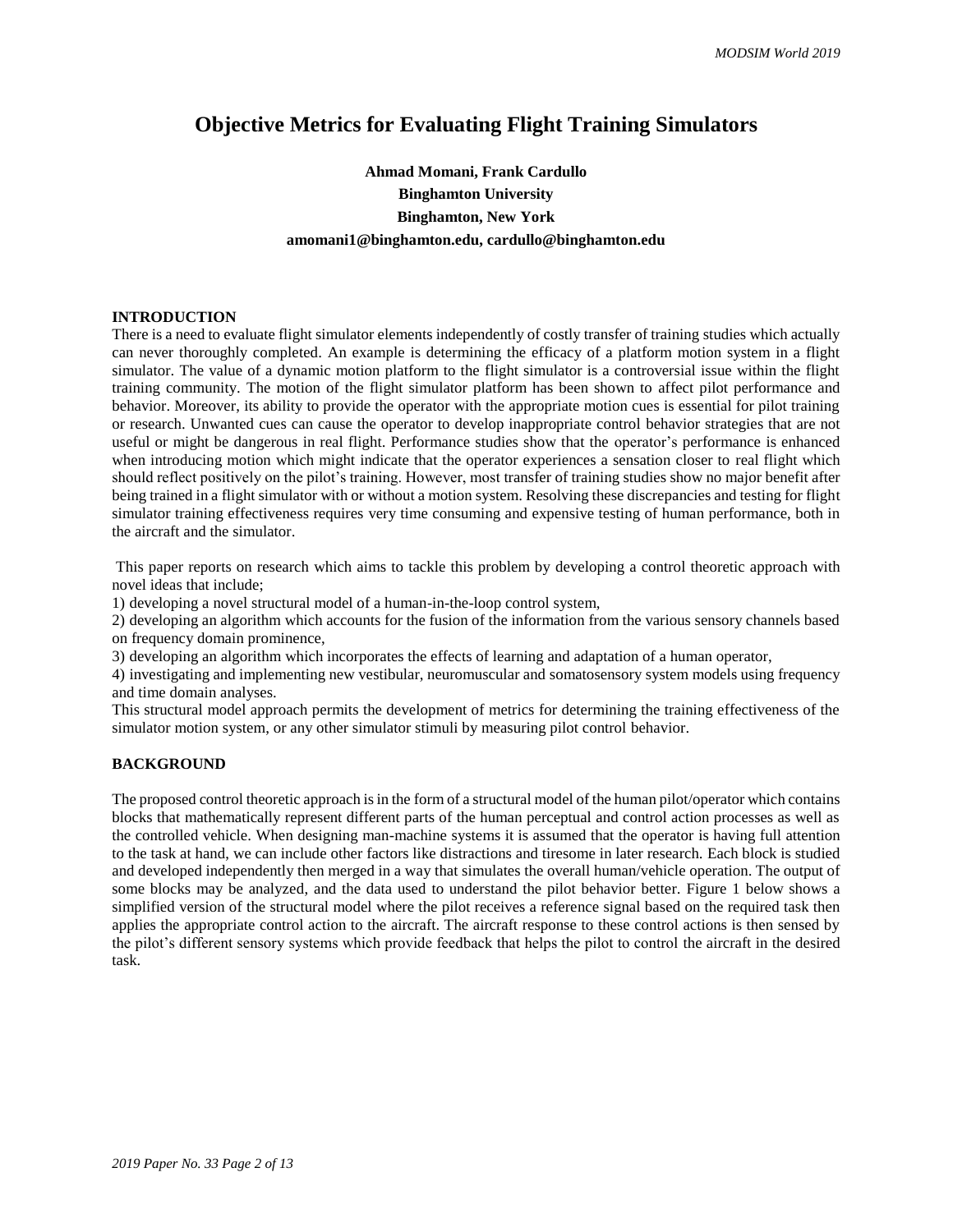# **Objective Metrics for Evaluating Flight Training Simulators**

# **Ahmad Momani, Frank Cardullo Binghamton University Binghamton, New York amomani1@binghamton.edu, cardullo@binghamton.edu**

## **INTRODUCTION**

There is a need to evaluate flight simulator elements independently of costly transfer of training studies which actually can never thoroughly completed. An example is determining the efficacy of a platform motion system in a flight simulator. The value of a dynamic motion platform to the flight simulator is a controversial issue within the flight training community. The motion of the flight simulator platform has been shown to affect pilot performance and behavior. Moreover, its ability to provide the operator with the appropriate motion cues is essential for pilot training or research. Unwanted cues can cause the operator to develop inappropriate control behavior strategies that are not useful or might be dangerous in real flight. Performance studies show that the operator's performance is enhanced when introducing motion which might indicate that the operator experiences a sensation closer to real flight which should reflect positively on the pilot's training. However, most transfer of training studies show no major benefit after being trained in a flight simulator with or without a motion system. Resolving these discrepancies and testing for flight simulator training effectiveness requires very time consuming and expensive testing of human performance, both in the aircraft and the simulator.

This paper reports on research which aims to tackle this problem by developing a control theoretic approach with novel ideas that include;

1) developing a novel structural model of a human-in-the-loop control system,

2) developing an algorithm which accounts for the fusion of the information from the various sensory channels based on frequency domain prominence,

3) developing an algorithm which incorporates the effects of learning and adaptation of a human operator,

4) investigating and implementing new vestibular, neuromuscular and somatosensory system models using frequency and time domain analyses.

This structural model approach permits the development of metrics for determining the training effectiveness of the simulator motion system, or any other simulator stimuli by measuring pilot control behavior.

#### **BACKGROUND**

The proposed control theoretic approach is in the form of a structural model of the human pilot/operator which contains blocks that mathematically represent different parts of the human perceptual and control action processes as well as the controlled vehicle. When designing man-machine systems it is assumed that the operator is having full attention to the task at hand, we can include other factors like distractions and tiresome in later research. Each block is studied and developed independently then merged in a way that simulates the overall human/vehicle operation. The output of some blocks may be analyzed, and the data used to understand the pilot behavior better. Figure 1 below shows a simplified version of the structural model where the pilot receives a reference signal based on the required task then applies the appropriate control action to the aircraft. The aircraft response to these control actions is then sensed by the pilot's different sensory systems which provide feedback that helps the pilot to control the aircraft in the desired task.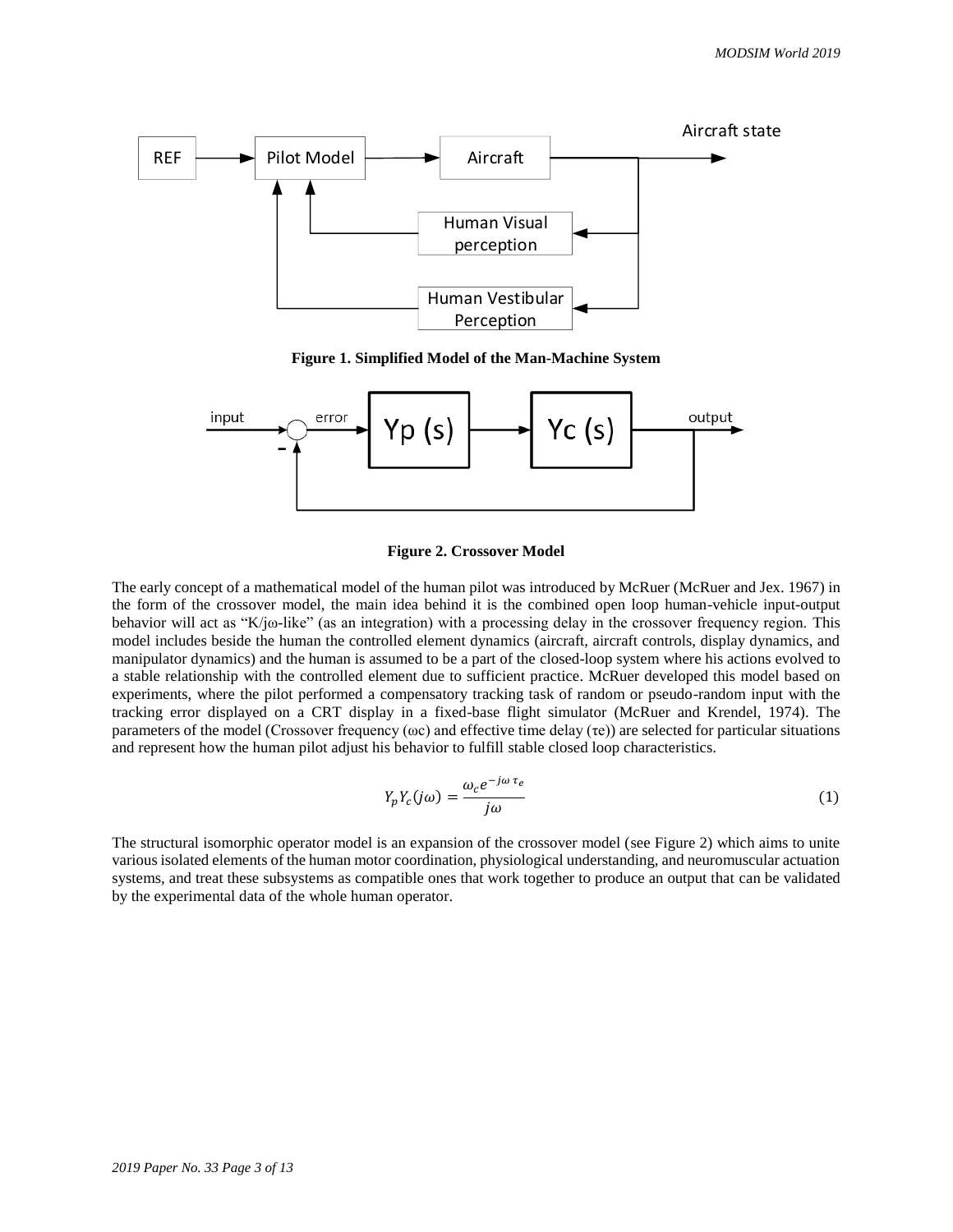

**Figure 1. Simplified Model of the Man-Machine System**



**Figure 2. Crossover Model**

The early concept of a mathematical model of the human pilot was introduced by McRuer (McRuer and Jex. 1967) in the form of the crossover model, the main idea behind it is the combined open loop human-vehicle input-output behavior will act as "K/jω-like" (as an integration) with a processing delay in the crossover frequency region. This model includes beside the human the controlled element dynamics (aircraft, aircraft controls, display dynamics, and manipulator dynamics) and the human is assumed to be a part of the closed-loop system where his actions evolved to a stable relationship with the controlled element due to sufficient practice. McRuer developed this model based on experiments, where the pilot performed a compensatory tracking task of random or pseudo-random input with the tracking error displayed on a CRT display in a fixed-base flight simulator (McRuer and Krendel, 1974). The parameters of the model (Crossover frequency ( $\omega$ c) and effective time delay ( $\tau$ e)) are selected for particular situations and represent how the human pilot adjust his behavior to fulfill stable closed loop characteristics.

$$
Y_p Y_c(j\omega) = \frac{\omega_c e^{-j\omega \tau_e}}{j\omega} \tag{1}
$$

The structural isomorphic operator model is an expansion of the crossover model (see Figure 2) which aims to unite various isolated elements of the human motor coordination, physiological understanding, and neuromuscular actuation systems, and treat these subsystems as compatible ones that work together to produce an output that can be validated by the experimental data of the whole human operator.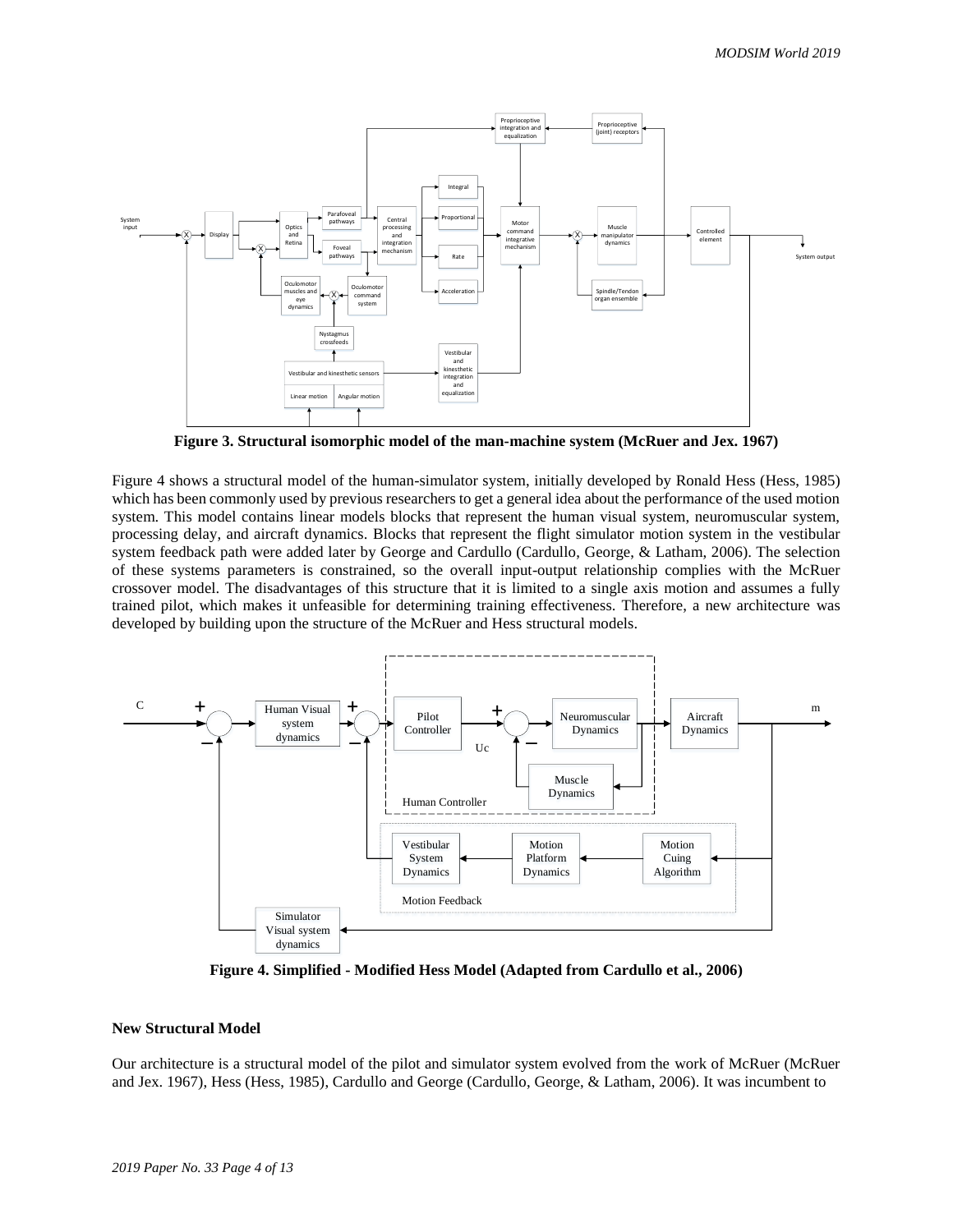

**Figure 3. Structural isomorphic model of the man-machine system (McRuer and Jex. 1967)**

Figure 4 shows a structural model of the human-simulator system, initially developed by Ronald Hess (Hess, 1985) which has been commonly used by previous researchers to get a general idea about the performance of the used motion system. This model contains linear models blocks that represent the human visual system, neuromuscular system, processing delay, and aircraft dynamics. Blocks that represent the flight simulator motion system in the vestibular system feedback path were added later by George and Cardullo (Cardullo, George, & Latham, 2006). The selection of these systems parameters is constrained, so the overall input-output relationship complies with the McRuer crossover model. The disadvantages of this structure that it is limited to a single axis motion and assumes a fully trained pilot, which makes it unfeasible for determining training effectiveness. Therefore, a new architecture was developed by building upon the structure of the McRuer and Hess structural models.



**Figure 4. Simplified - Modified Hess Model (Adapted from Cardullo et al., 2006)**

### **New Structural Model**

Our architecture is a structural model of the pilot and simulator system evolved from the work of McRuer (McRuer and Jex. 1967), Hess (Hess, 1985), Cardullo and George (Cardullo, George, & Latham, 2006). It was incumbent to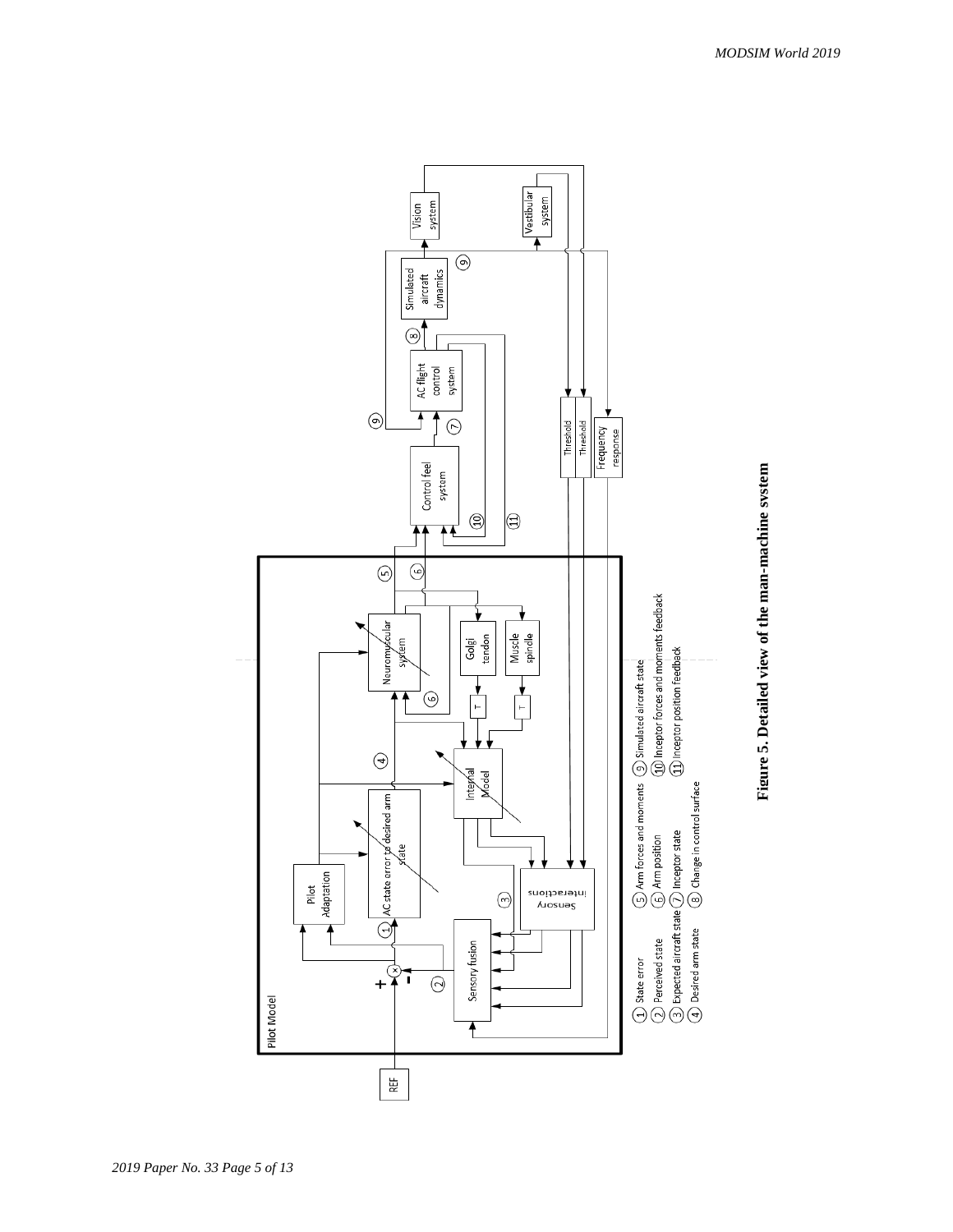

Figure 5. Detailed view of the man-machine system **Figure 5. Detailed view of the man-machine system**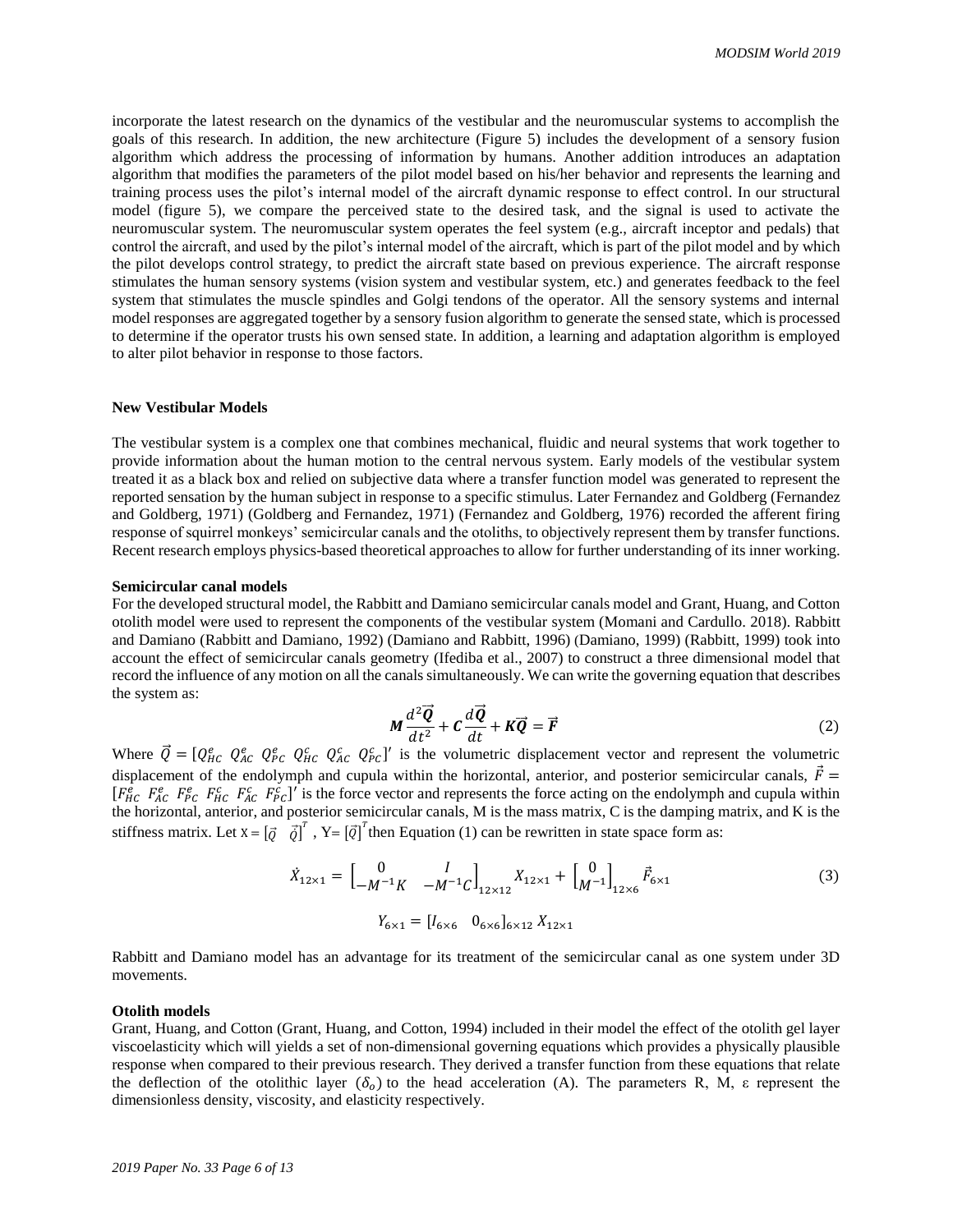incorporate the latest research on the dynamics of the vestibular and the neuromuscular systems to accomplish the goals of this research. In addition, the new architecture (Figure 5) includes the development of a sensory fusion algorithm which address the processing of information by humans. Another addition introduces an adaptation algorithm that modifies the parameters of the pilot model based on his/her behavior and represents the learning and training process uses the pilot's internal model of the aircraft dynamic response to effect control. In our structural model (figure 5), we compare the perceived state to the desired task, and the signal is used to activate the neuromuscular system. The neuromuscular system operates the feel system (e.g., aircraft inceptor and pedals) that control the aircraft, and used by the pilot's internal model of the aircraft, which is part of the pilot model and by which the pilot develops control strategy, to predict the aircraft state based on previous experience. The aircraft response stimulates the human sensory systems (vision system and vestibular system, etc.) and generates feedback to the feel system that stimulates the muscle spindles and Golgi tendons of the operator. All the sensory systems and internal model responses are aggregated together by a sensory fusion algorithm to generate the sensed state, which is processed to determine if the operator trusts his own sensed state. In addition, a learning and adaptation algorithm is employed to alter pilot behavior in response to those factors.

#### **New Vestibular Models**

The vestibular system is a complex one that combines mechanical, fluidic and neural systems that work together to provide information about the human motion to the central nervous system. Early models of the vestibular system treated it as a black box and relied on subjective data where a transfer function model was generated to represent the reported sensation by the human subject in response to a specific stimulus. Later Fernandez and Goldberg (Fernandez and Goldberg, 1971) (Goldberg and Fernandez, 1971) (Fernandez and Goldberg, 1976) recorded the afferent firing response of squirrel monkeys' semicircular canals and the otoliths, to objectively represent them by transfer functions. Recent research employs physics-based theoretical approaches to allow for further understanding of its inner working.

#### **Semicircular canal models**

For the developed structural model, the Rabbitt and Damiano semicircular canals model and Grant, Huang, and Cotton otolith model were used to represent the components of the vestibular system (Momani and Cardullo. 2018). Rabbitt and Damiano (Rabbitt and Damiano, 1992) (Damiano and Rabbitt, 1996) (Damiano, 1999) (Rabbitt, 1999) took into account the effect of semicircular canals geometry (Ifediba et al., 2007) to construct a three dimensional model that record the influence of any motion on all the canals simultaneously. We can write the governing equation that describes the system as:

$$
M\frac{d^2\vec{Q}}{dt^2} + C\frac{d\vec{Q}}{dt} + K\vec{Q} = \vec{F}
$$
 (2)

Where  $\vec{Q} = [Q_{HC}^e Q_{AC}^e Q_{AC}^e Q_{AC}^c Q_{AC}^c Q_{BC}^c]'$  is the volumetric displacement vector and represent the volumetric displacement of the endolymph and cupula within the horizontal, anterior, and posterior semicircular canals,  $\vec{F}$  =  $[F_{HC}^e$   $F_{AC}^e$   $F_{HC}^e$   $F_{AC}^c$   $F_{FC}^c$ ]' is the force vector and represents the force acting on the endolymph and cupula within the horizontal, anterior, and posterior semicircular canals, M is the mass matrix, C is the damping matrix, and K is the stiffness matrix. Let  $X = [\vec{Q} \quad \vec{Q}]^T$ ,  $Y = [\vec{Q}]^T$  then Equation (1) can be rewritten in state space form as:

$$
\dot{X}_{12\times1} = \begin{bmatrix} 0 & I \\ -M^{-1}K & -M^{-1}C \end{bmatrix}_{12\times12} X_{12\times1} + \begin{bmatrix} 0 \\ M^{-1} \end{bmatrix}_{12\times6} \vec{F}_{6\times1}
$$
\n
$$
Y_{6\times1} = \begin{bmatrix} I_{6\times6} & 0_{6\times6} \end{bmatrix}_{6\times12} X_{12\times1}
$$
\n(3)

Rabbitt and Damiano model has an advantage for its treatment of the semicircular canal as one system under 3D movements.

#### **Otolith models**

Grant, Huang, and Cotton (Grant, Huang, and Cotton, 1994) included in their model the effect of the otolith gel layer viscoelasticity which will yields a set of non-dimensional governing equations which provides a physically plausible response when compared to their previous research. They derived a transfer function from these equations that relate the deflection of the otolithic layer ( $\delta_0$ ) to the head acceleration (A). The parameters R, M,  $\epsilon$  represent the dimensionless density, viscosity, and elasticity respectively.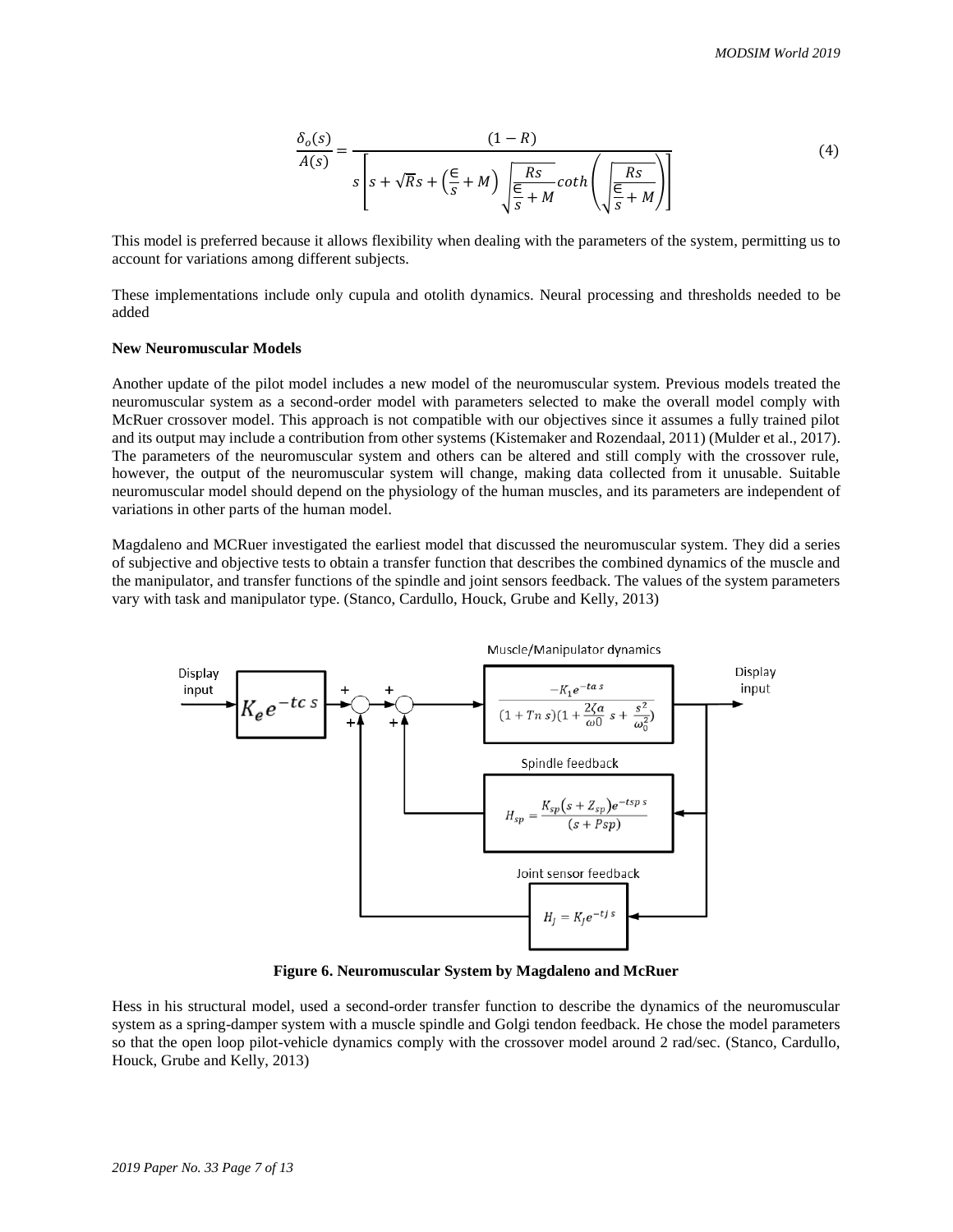$$
\frac{\delta_o(s)}{A(s)} = \frac{(1-R)}{s\left[s + \sqrt{Rs} + \left(\frac{\epsilon}{s} + M\right)\sqrt{\frac{Rs}{\frac{\epsilon}{s} + M}} \coth\left(\sqrt{\frac{Rs}{\frac{\epsilon}{s} + M}}\right)\right]}
$$
(4)

This model is preferred because it allows flexibility when dealing with the parameters of the system, permitting us to account for variations among different subjects.

These implementations include only cupula and otolith dynamics. Neural processing and thresholds needed to be added

#### **New Neuromuscular Models**

Another update of the pilot model includes a new model of the neuromuscular system. Previous models treated the neuromuscular system as a second-order model with parameters selected to make the overall model comply with McRuer crossover model. This approach is not compatible with our objectives since it assumes a fully trained pilot and its output may include a contribution from other systems (Kistemaker and Rozendaal, 2011) (Mulder et al., 2017). The parameters of the neuromuscular system and others can be altered and still comply with the crossover rule, however, the output of the neuromuscular system will change, making data collected from it unusable. Suitable neuromuscular model should depend on the physiology of the human muscles, and its parameters are independent of variations in other parts of the human model.

Magdaleno and MCRuer investigated the earliest model that discussed the neuromuscular system. They did a series of subjective and objective tests to obtain a transfer function that describes the combined dynamics of the muscle and the manipulator, and transfer functions of the spindle and joint sensors feedback. The values of the system parameters vary with task and manipulator type. (Stanco, Cardullo, Houck, Grube and Kelly, 2013)



**Figure 6. Neuromuscular System by Magdaleno and McRuer**

Hess in his structural model, used a second-order transfer function to describe the dynamics of the neuromuscular system as a spring-damper system with a muscle spindle and Golgi tendon feedback. He chose the model parameters so that the open loop pilot-vehicle dynamics comply with the crossover model around 2 rad/sec. (Stanco, Cardullo, Houck, Grube and Kelly, 2013)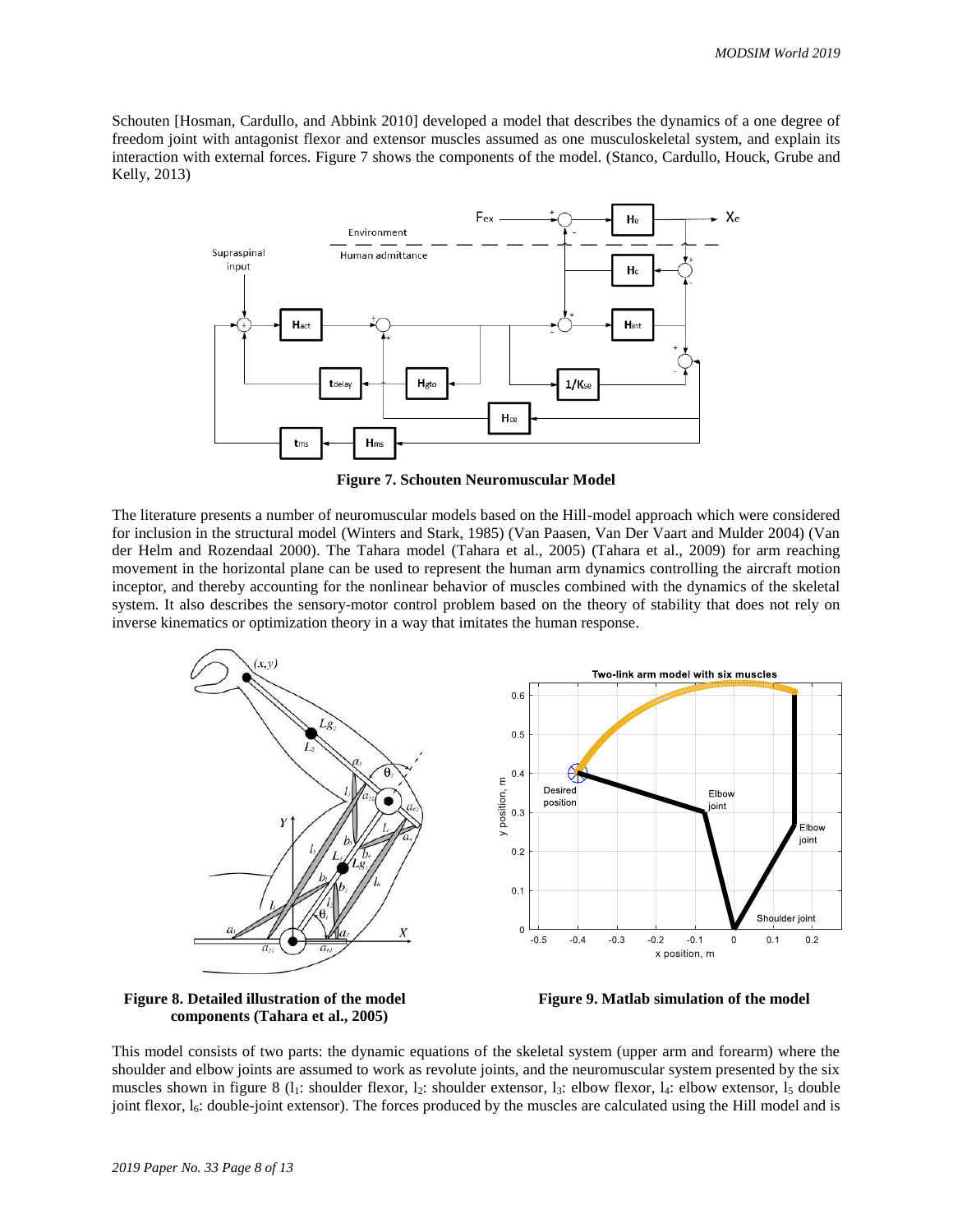Schouten [Hosman, Cardullo, and Abbink 2010] developed a model that describes the dynamics of a one degree of freedom joint with antagonist flexor and extensor muscles assumed as one musculoskeletal system, and explain its interaction with external forces. Figure 7 shows the components of the model. (Stanco, Cardullo, Houck, Grube and Kelly, 2013)



**Figure 7. Schouten Neuromuscular Model**

The literature presents a number of neuromuscular models based on the Hill-model approach which were considered for inclusion in the structural model (Winters and Stark, 1985) (Van Paasen, Van Der Vaart and Mulder 2004) (Van der Helm and Rozendaal 2000). The Tahara model (Tahara et al., 2005) (Tahara et al., 2009) for arm reaching movement in the horizontal plane can be used to represent the human arm dynamics controlling the aircraft motion inceptor, and thereby accounting for the nonlinear behavior of muscles combined with the dynamics of the skeletal system. It also describes the sensory-motor control problem based on the theory of stability that does not rely on inverse kinematics or optimization theory in a way that imitates the human response.



 **components (Tahara et al., 2005)**



This model consists of two parts: the dynamic equations of the skeletal system (upper arm and forearm) where the shoulder and elbow joints are assumed to work as revolute joints, and the neuromuscular system presented by the six muscles shown in figure 8 ( $l_1$ : shoulder flexor,  $l_2$ : shoulder extensor,  $l_3$ : elbow flexor,  $l_4$ : elbow extensor,  $l_5$  double joint flexor,  $l_6$ : double-joint extensor). The forces produced by the muscles are calculated using the Hill model and is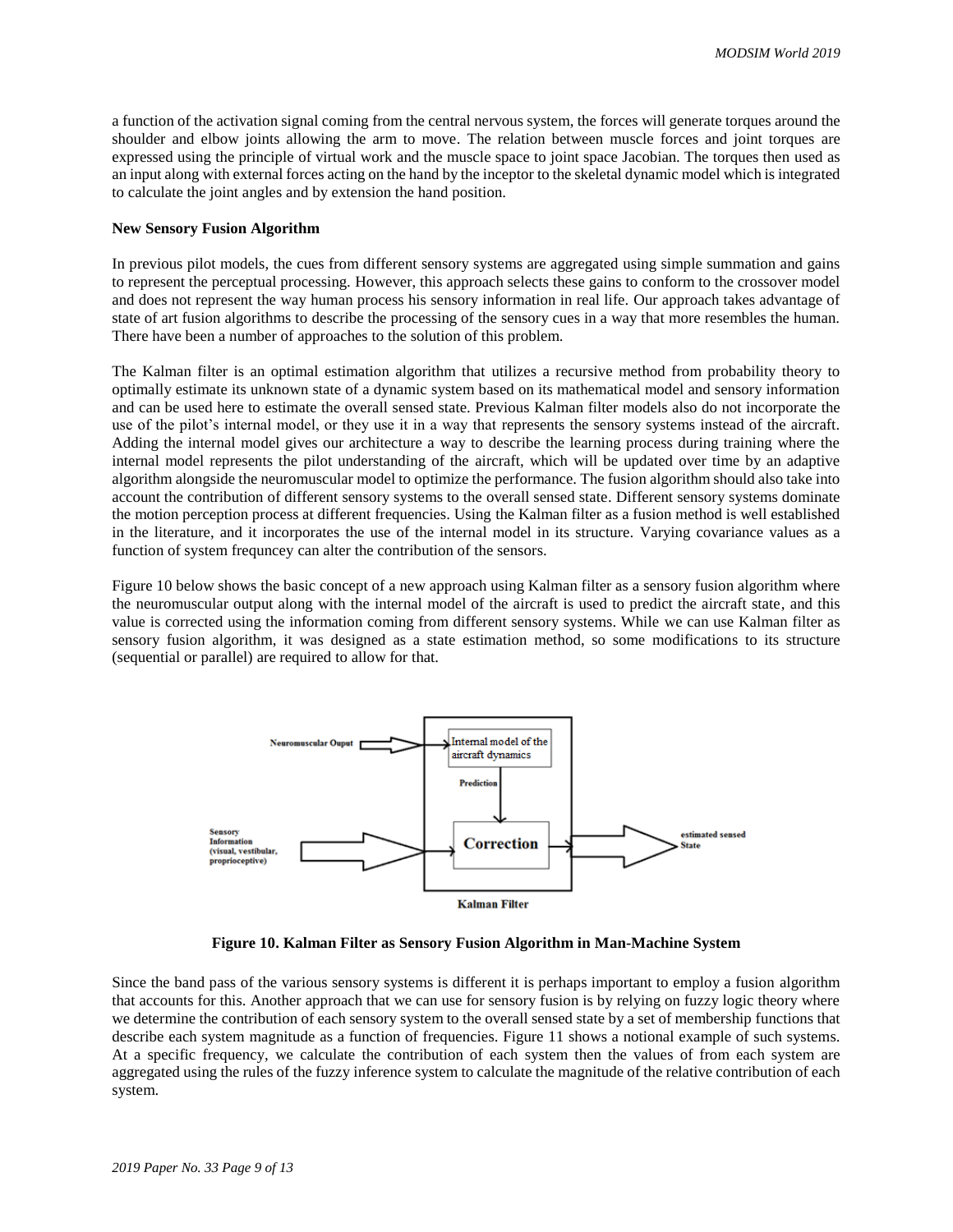a function of the activation signal coming from the central nervous system, the forces will generate torques around the shoulder and elbow joints allowing the arm to move. The relation between muscle forces and joint torques are expressed using the principle of virtual work and the muscle space to joint space Jacobian. The torques then used as an input along with external forces acting on the hand by the inceptor to the skeletal dynamic model which is integrated to calculate the joint angles and by extension the hand position.

#### **New Sensory Fusion Algorithm**

In previous pilot models, the cues from different sensory systems are aggregated using simple summation and gains to represent the perceptual processing. However, this approach selects these gains to conform to the crossover model and does not represent the way human process his sensory information in real life. Our approach takes advantage of state of art fusion algorithms to describe the processing of the sensory cues in a way that more resembles the human. There have been a number of approaches to the solution of this problem.

The Kalman filter is an optimal estimation algorithm that utilizes a recursive method from probability theory to optimally estimate its unknown state of a dynamic system based on its mathematical model and sensory information and can be used here to estimate the overall sensed state. Previous Kalman filter models also do not incorporate the use of the pilot's internal model, or they use it in a way that represents the sensory systems instead of the aircraft. Adding the internal model gives our architecture a way to describe the learning process during training where the internal model represents the pilot understanding of the aircraft, which will be updated over time by an adaptive algorithm alongside the neuromuscular model to optimize the performance. The fusion algorithm should also take into account the contribution of different sensory systems to the overall sensed state. Different sensory systems dominate the motion perception process at different frequencies. Using the Kalman filter as a fusion method is well established in the literature, and it incorporates the use of the internal model in its structure. Varying covariance values as a function of system frequncey can alter the contribution of the sensors.

Figure 10 below shows the basic concept of a new approach using Kalman filter as a sensory fusion algorithm where the neuromuscular output along with the internal model of the aircraft is used to predict the aircraft state, and this value is corrected using the information coming from different sensory systems. While we can use Kalman filter as sensory fusion algorithm, it was designed as a state estimation method, so some modifications to its structure (sequential or parallel) are required to allow for that.



**Figure 10. Kalman Filter as Sensory Fusion Algorithm in Man-Machine System**

Since the band pass of the various sensory systems is different it is perhaps important to employ a fusion algorithm that accounts for this. Another approach that we can use for sensory fusion is by relying on fuzzy logic theory where we determine the contribution of each sensory system to the overall sensed state by a set of membership functions that describe each system magnitude as a function of frequencies. Figure 11 shows a notional example of such systems. At a specific frequency, we calculate the contribution of each system then the values of from each system are aggregated using the rules of the fuzzy inference system to calculate the magnitude of the relative contribution of each system.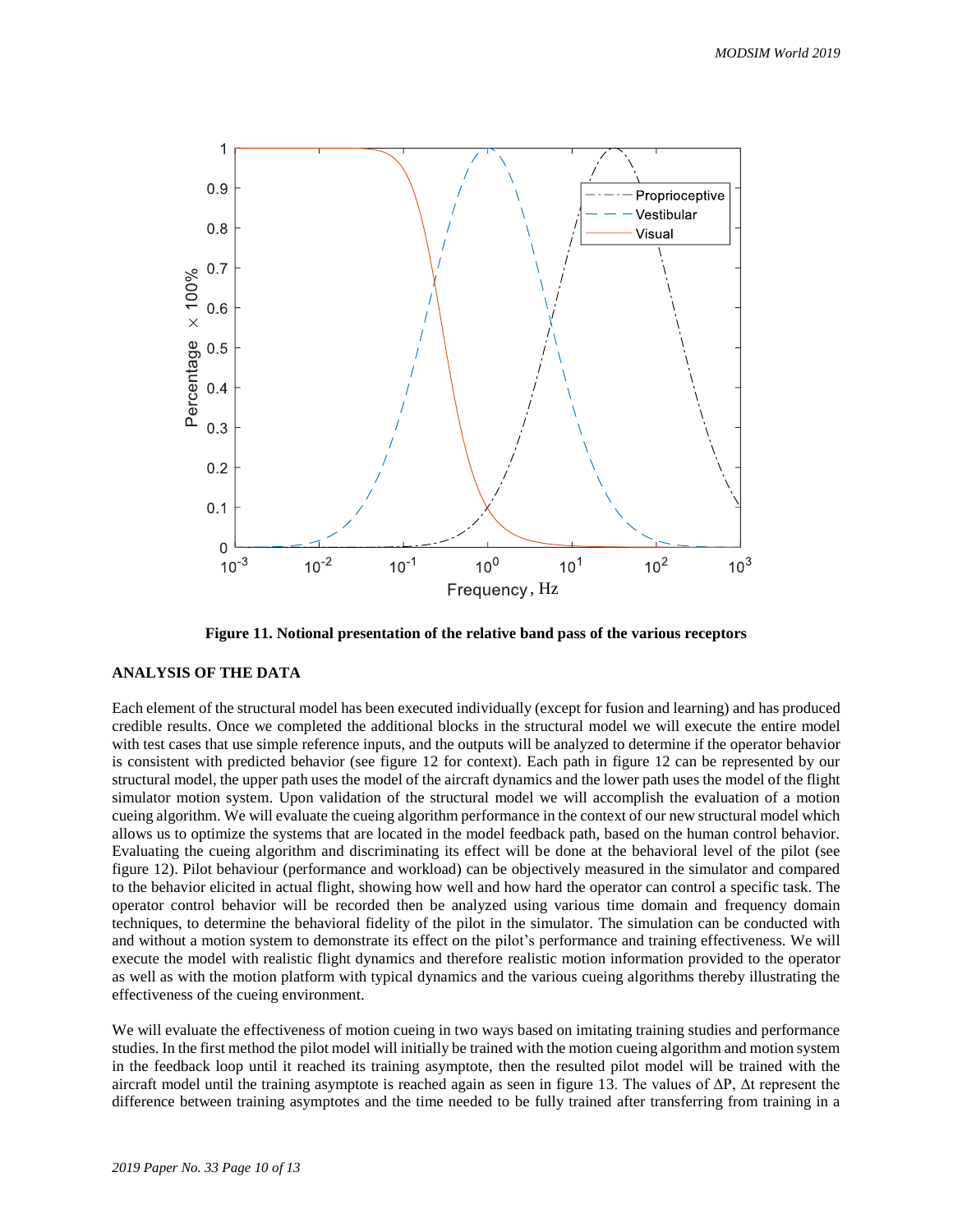

**Figure 11. Notional presentation of the relative band pass of the various receptors**

### **ANALYSIS OF THE DATA**

Each element of the structural model has been executed individually (except for fusion and learning) and has produced credible results. Once we completed the additional blocks in the structural model we will execute the entire model with test cases that use simple reference inputs, and the outputs will be analyzed to determine if the operator behavior is consistent with predicted behavior (see figure 12 for context). Each path in figure 12 can be represented by our structural model, the upper path uses the model of the aircraft dynamics and the lower path uses the model of the flight simulator motion system. Upon validation of the structural model we will accomplish the evaluation of a motion cueing algorithm. We will evaluate the cueing algorithm performance in the context of our new structural model which allows us to optimize the systems that are located in the model feedback path, based on the human control behavior. Evaluating the cueing algorithm and discriminating its effect will be done at the behavioral level of the pilot (see figure 12). Pilot behaviour (performance and workload) can be objectively measured in the simulator and compared to the behavior elicited in actual flight, showing how well and how hard the operator can control a specific task. The operator control behavior will be recorded then be analyzed using various time domain and frequency domain techniques, to determine the behavioral fidelity of the pilot in the simulator. The simulation can be conducted with and without a motion system to demonstrate its effect on the pilot's performance and training effectiveness. We will execute the model with realistic flight dynamics and therefore realistic motion information provided to the operator as well as with the motion platform with typical dynamics and the various cueing algorithms thereby illustrating the effectiveness of the cueing environment.

We will evaluate the effectiveness of motion cueing in two ways based on imitating training studies and performance studies. In the first method the pilot model will initially be trained with the motion cueing algorithm and motion system in the feedback loop until it reached its training asymptote, then the resulted pilot model will be trained with the aircraft model until the training asymptote is reached again as seen in figure 13. The values of  $\Delta P$ ,  $\Delta t$  represent the difference between training asymptotes and the time needed to be fully trained after transferring from training in a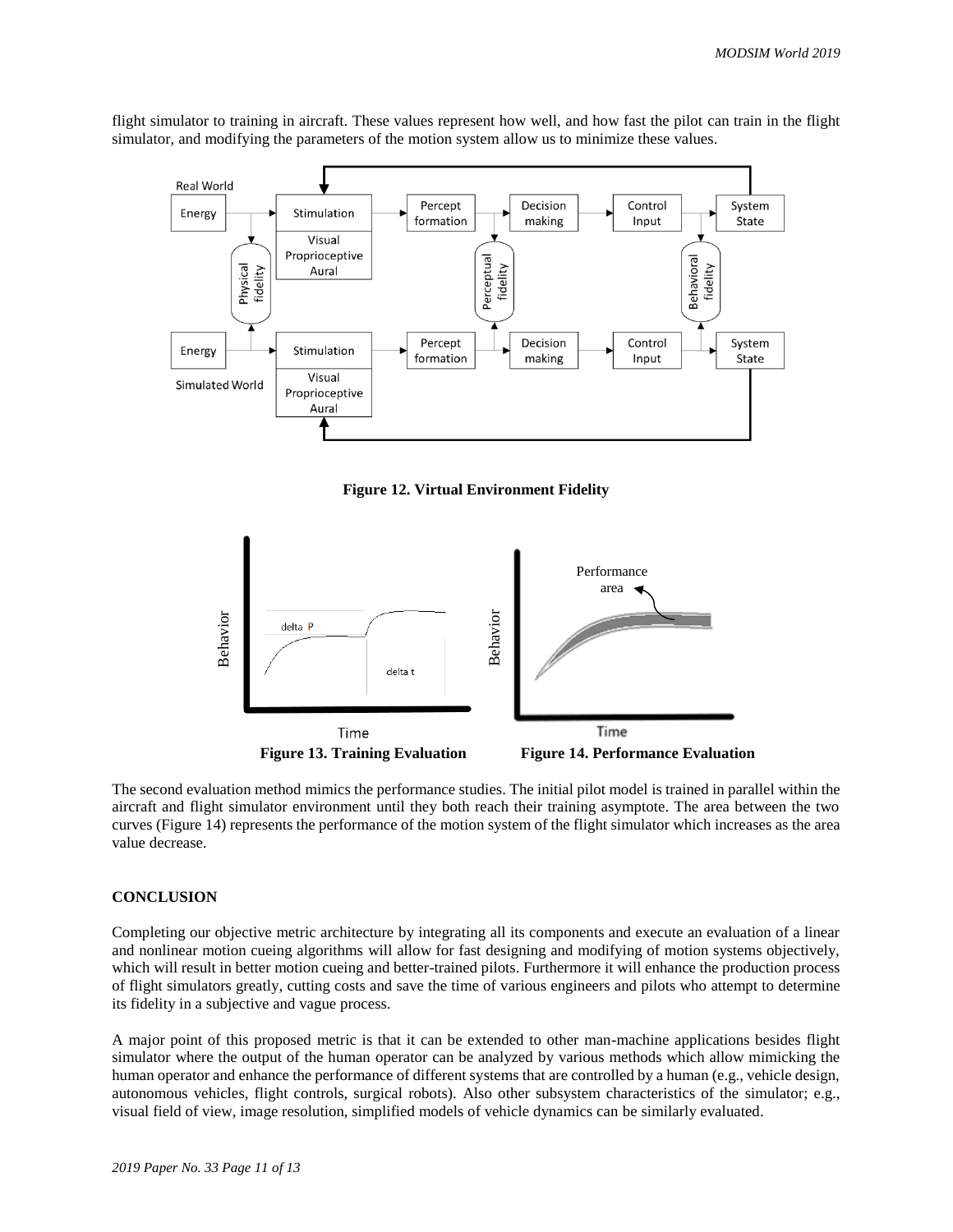flight simulator to training in aircraft. These values represent how well, and how fast the pilot can train in the flight simulator, and modifying the parameters of the motion system allow us to minimize these values.



**Figure 12. Virtual Environment Fidelity**



The second evaluation method mimics the performance studies. The initial pilot model is trained in parallel within the aircraft and flight simulator environment until they both reach their training asymptote. The area between the two curves (Figure 14) represents the performance of the motion system of the flight simulator which increases as the area value decrease.

## **CONCLUSION**

Completing our objective metric architecture by integrating all its components and execute an evaluation of a linear and nonlinear motion cueing algorithms will allow for fast designing and modifying of motion systems objectively, which will result in better motion cueing and better-trained pilots. Furthermore it will enhance the production process of flight simulators greatly, cutting costs and save the time of various engineers and pilots who attempt to determine its fidelity in a subjective and vague process.

A major point of this proposed metric is that it can be extended to other man-machine applications besides flight simulator where the output of the human operator can be analyzed by various methods which allow mimicking the human operator and enhance the performance of different systems that are controlled by a human (e.g., vehicle design, autonomous vehicles, flight controls, surgical robots). Also other subsystem characteristics of the simulator; e.g.,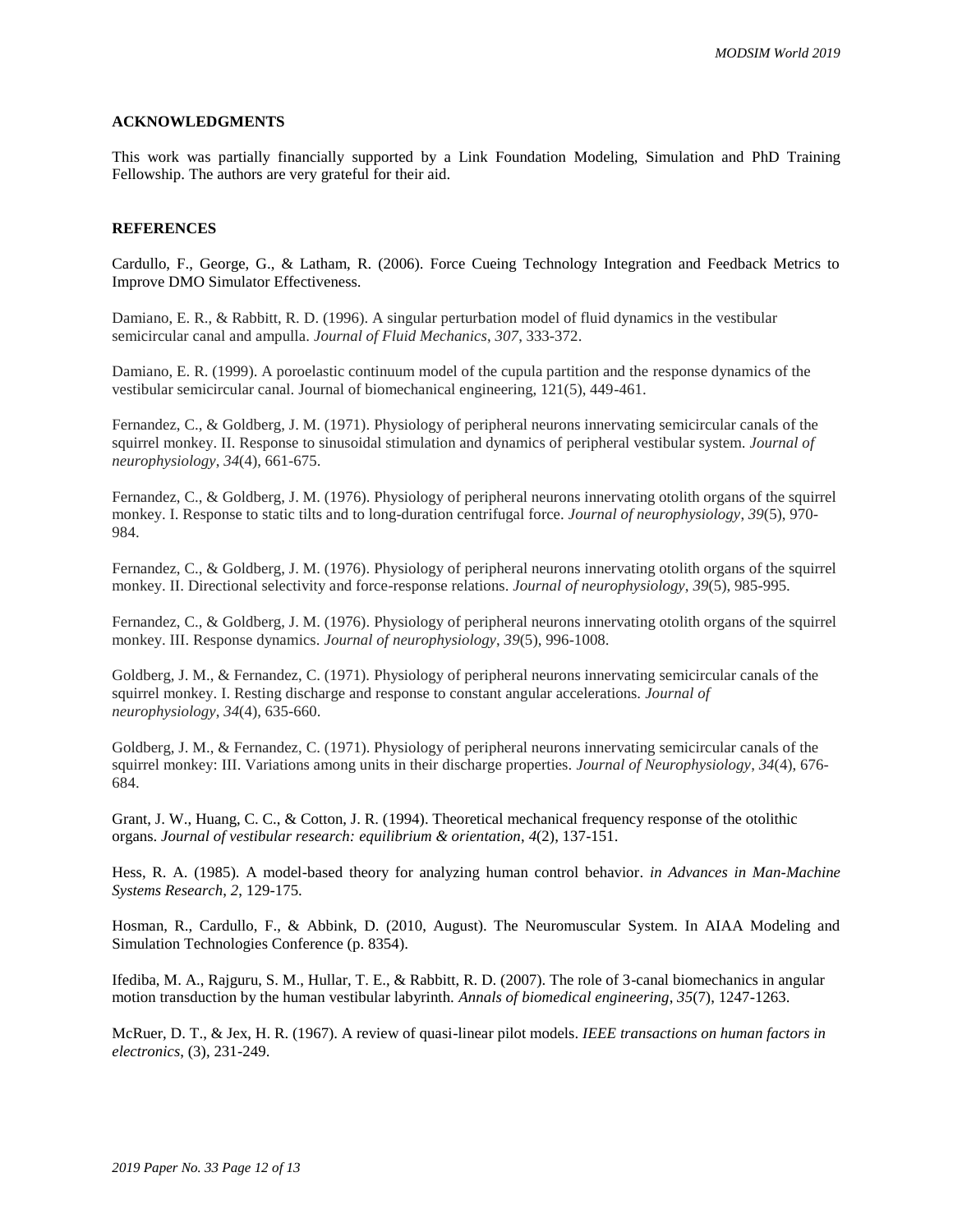#### **ACKNOWLEDGMENTS**

This work was partially financially supported by a Link Foundation Modeling, Simulation and PhD Training Fellowship. The authors are very grateful for their aid.

#### **REFERENCES**

Cardullo, F., George, G., & Latham, R. (2006). Force Cueing Technology Integration and Feedback Metrics to Improve DMO Simulator Effectiveness.

Damiano, E. R., & Rabbitt, R. D. (1996). A singular perturbation model of fluid dynamics in the vestibular semicircular canal and ampulla. *Journal of Fluid Mechanics*, *307*, 333-372.

Damiano, E. R. (1999). A poroelastic continuum model of the cupula partition and the response dynamics of the vestibular semicircular canal. Journal of biomechanical engineering, 121(5), 449-461.

Fernandez, C., & Goldberg, J. M. (1971). Physiology of peripheral neurons innervating semicircular canals of the squirrel monkey. II. Response to sinusoidal stimulation and dynamics of peripheral vestibular system. *Journal of neurophysiology*, *34*(4), 661-675.

Fernandez, C., & Goldberg, J. M. (1976). Physiology of peripheral neurons innervating otolith organs of the squirrel monkey. I. Response to static tilts and to long-duration centrifugal force. *Journal of neurophysiology*, *39*(5), 970- 984.

Fernandez, C., & Goldberg, J. M. (1976). Physiology of peripheral neurons innervating otolith organs of the squirrel monkey. II. Directional selectivity and force-response relations. *Journal of neurophysiology*, *39*(5), 985-995.

Fernandez, C., & Goldberg, J. M. (1976). Physiology of peripheral neurons innervating otolith organs of the squirrel monkey. III. Response dynamics. *Journal of neurophysiology*, *39*(5), 996-1008.

Goldberg, J. M., & Fernandez, C. (1971). Physiology of peripheral neurons innervating semicircular canals of the squirrel monkey. I. Resting discharge and response to constant angular accelerations. *Journal of neurophysiology*, *34*(4), 635-660.

Goldberg, J. M., & Fernandez, C. (1971). Physiology of peripheral neurons innervating semicircular canals of the squirrel monkey: III. Variations among units in their discharge properties. *Journal of Neurophysiology*, *34*(4), 676- 684.

Grant, J. W., Huang, C. C., & Cotton, J. R. (1994). Theoretical mechanical frequency response of the otolithic organs. *Journal of vestibular research: equilibrium & orientation*, *4*(2), 137-151.

Hess, R. A. (1985). A model-based theory for analyzing human control behavior. *in Advances in Man-Machine Systems Research*, *2*, 129-175.

Hosman, R., Cardullo, F., & Abbink, D. (2010, August). The Neuromuscular System. In AIAA Modeling and Simulation Technologies Conference (p. 8354).

Ifediba, M. A., Rajguru, S. M., Hullar, T. E., & Rabbitt, R. D. (2007). The role of 3-canal biomechanics in angular motion transduction by the human vestibular labyrinth. *Annals of biomedical engineering*, *35*(7), 1247-1263.

McRuer, D. T., & Jex, H. R. (1967). A review of quasi-linear pilot models. *IEEE transactions on human factors in electronics*, (3), 231-249.